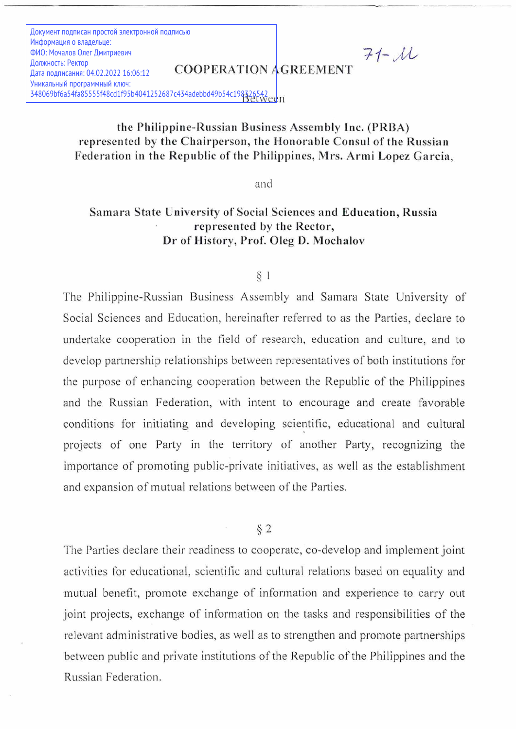COOPERATION AGREEMENT 348069bf6a54fa85555f48cd1f95b4041252687c434adebbd49b54c198326542<br>-<br>-Документ подписан простой электронной подписью Информация о владельце: ФИО: Мочалов Олег Дмитриевич Должность: Ректор Дата подписания: 04.02.2022 16:06:12 Уникальный программный ключ:

# the Philippine-Russian Business Assembly Ine. (PRBA) represented by the Chairperson, the Honorable Consul of the Russian Federation in the Republic of the Philippines, Mrs. Armi Lopez Garcia,

 $71 - 11$ 

and

# Samara State University of Social Sciences and Education, Russia represented by the Rector, Dr of History, Prof. Oleg D. Mochalov

### $§$  1

The Philippine-Russian Business Assembly and Samara State University of Social Sciences and Education, hereinafter referred to as the Parties, declare to undertake cooperation in the field of research, education and culture, and to develop partnership relationships between representatives of both institutions for the purpose of enhancing cooperation between the Republic of the Philippines and the Russian Federation, with intent to encourage and create favorable conditions for initiating and developing scientific, educational and cultural projects of one Party in the territory of another Party, recognizing the importance of promoting public-private initiatives, as well as the establishment and expansion of mutual relations between of the Parties.

#### $\S 2$

The Parties declare their readiness to cooperate, co-develop and implement joint activities for educational, scientific and cultural relations based on equality and mutual benefit, promote exchange of information and experience to carry out joint projects, exchange of information on the tasks and responsibilities of the relevant administrative bodies, as well as to strengthen and promote partnerships between public and private institutions of the Republic of the Philippines and the Russian Federation.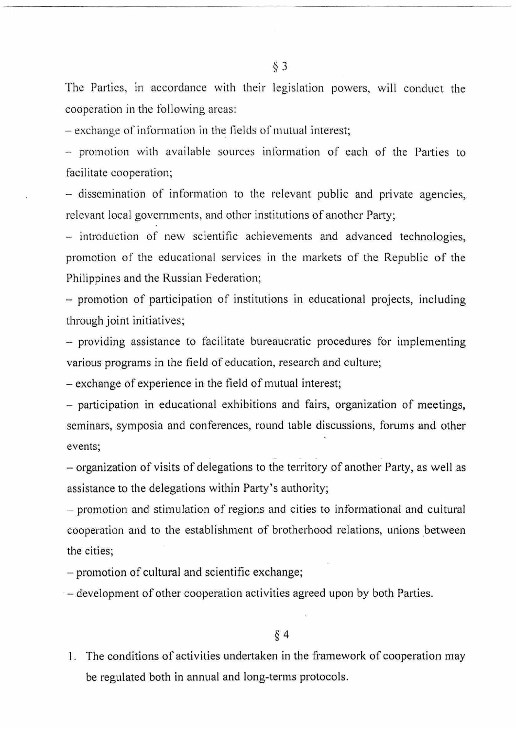The Parties, in accordance with their legislation powers, will conduct the cooperation in the following areas:

– exchange of information in the fields of mutual interest;

.<br>Provincia de la provincia de la provincia de la provincia de la provincia de la provincia de la provincia del

~ promotion with available sources information of each of the Parties to facilitate cooperation;

— dissemination of information to the relevant public and private agencies, relevant local governments, and other institutions of another Party;

— introduction of new scientific achievements and advanced technologies, promotion of the educational services in the markets of the Republic of the Philippines and the Russian Federation;

— promotion of participation of institutions in educational projects, including through joint initiatives;

— providing assistance to facilitate bureaucratic procedures for implementing various programs in the field of education, research and culture;

— exchange of experience in the field of mutual interest;

— participation in educational exhibitions and fairs, organization of meetings, seminars, symposia and conferences, round table discussions, forums and other events;

— organization of visits of delegations to the territory of another Party, as well as assistance to the delegations within Party's authority;

— promotion and stimulation of regions and cities to informational and cultural cooperation and to the establishment of brotherhood relations, unions between the cities;

— promotion of cultural and scientific exchange;

~— development of other cooperation activities agreed upon by both Parties.

## § 4

1. The conditions of activities undertaken in the framework of cooperation may be regulated both in annual and long-terms protocols.